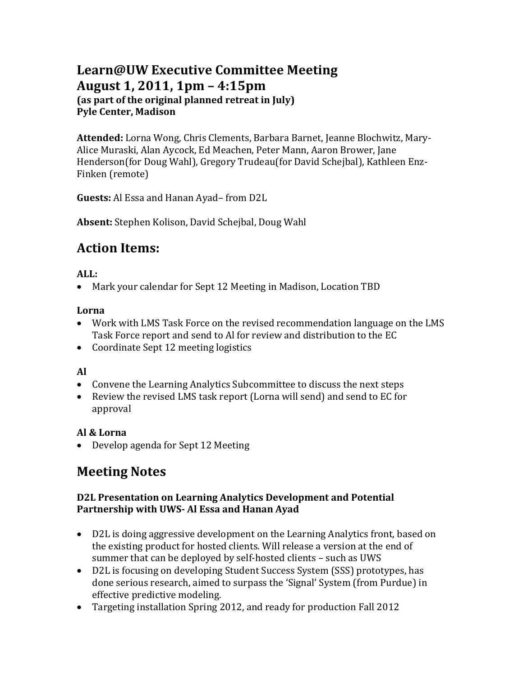# **Learn@UW Executive Committee Meeting August 1, 2011, 1pm – 4:15pm (as part of the original planned retreat in July) Pyle Center, Madison**

**Attended:** Lorna Wong, Chris Clements, Barbara Barnet, Jeanne Blochwitz, Mary-Alice Muraski, Alan Aycock, Ed Meachen, Peter Mann, Aaron Brower, Jane Henderson(for Doug Wahl), Gregory Trudeau(for David Schejbal), Kathleen Enz-Finken (remote)

**Guests:** Al Essa and Hanan Ayad– from D2L

**Absent:** Stephen Kolison, David Schejbal, Doug Wahl

# **Action Items:**

### **ALL:**

• Mark your calendar for Sept 12 Meeting in Madison, Location TBD

### **Lorna**

- Work with LMS Task Force on the revised recommendation language on the LMS Task Force report and send to Al for review and distribution to the EC
- Coordinate Sept 12 meeting logistics

## **Al**

- Convene the Learning Analytics Subcommittee to discuss the next steps
- Review the revised LMS task report (Lorna will send) and send to EC for approval

## **Al & Lorna**

• Develop agenda for Sept 12 Meeting

# **Meeting Notes**

### **D2L Presentation on Learning Analytics Development and Potential Partnership with UWS- Al Essa and Hanan Ayad**

- D2L is doing aggressive development on the Learning Analytics front, based on the existing product for hosted clients. Will release a version at the end of summer that can be deployed by self-hosted clients – such as UWS
- D2L is focusing on developing Student Success System (SSS) prototypes, has done serious research, aimed to surpass the 'Signal' System (from Purdue) in effective predictive modeling.
- Targeting installation Spring 2012, and ready for production Fall 2012